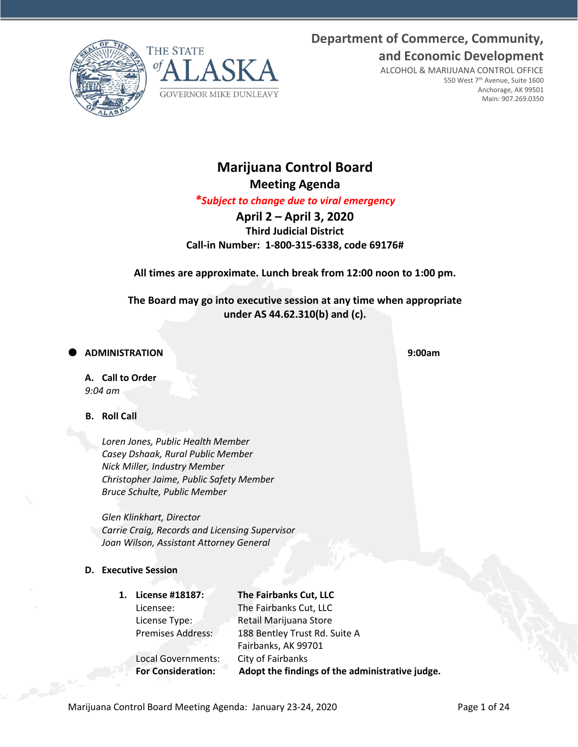**Department of Commerce, Community, and Economic Development**





ALCOHOL & MARIJUANA CONTROL OFFICE 550 West 7th Avenue, Suite 1600 Anchorage, AK 99501 Main: 907.269.0350

# **Marijuana Control Board Meeting Agenda**

*\*Subject to change due to viral emergency*

**April 2 – April 3, 2020 Third Judicial District Call-in Number: 1-800-315-6338, code 69176#**

**All times are approximate. Lunch break from 12:00 noon to 1:00 pm.** 

**The Board may go into executive session at any time when appropriate under AS 44.62.310(b) and (c).**

**ADMINISTRATION 9:00am**

**A. Call to Order** *9:04 am*

# **B. Roll Call**

*Loren Jones, Public Health Member Casey Dshaak, Rural Public Member Nick Miller, Industry Member Christopher Jaime, Public Safety Member Bruce Schulte, Public Member*

*Glen Klinkhart, Director Carrie Craig, Records and Licensing Supervisor Joan Wilson, Assistant Attorney General*

# **D. Executive Session**

**1. License #18187: The Fairbanks Cut, LLC** Licensee: The Fairbanks Cut, LLC License Type: Retail Marijuana Store Premises Address: 188 Bentley Trust Rd. Suite A Fairbanks, AK 99701 Local Governments: City of Fairbanks **For Consideration: Adopt the findings of the administrative judge.**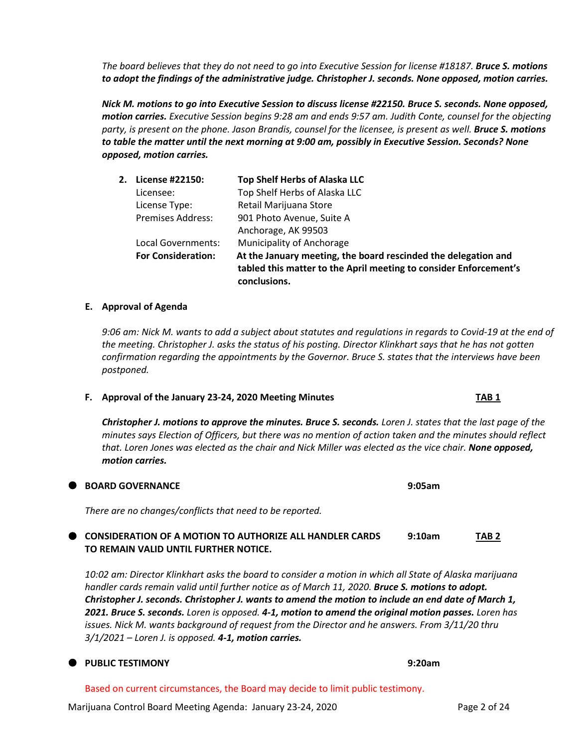*The board believes that they do not need to go into Executive Session for license #18187. Bruce S. motions to adopt the findings of the administrative judge. Christopher J. seconds. None opposed, motion carries.*

*Nick M. motions to go into Executive Session to discuss license #22150. Bruce S. seconds. None opposed, motion carries. Executive Session begins 9:28 am and ends 9:57 am. Judith Conte, counsel for the objecting party, is present on the phone. Jason Brandis, counsel for the licensee, is present as well. Bruce S. motions to table the matter until the next morning at 9:00 am, possibly in Executive Session. Seconds? None opposed, motion carries.*

| 2. License #22150:        | <b>Top Shelf Herbs of Alaska LLC</b>                                                                                                                |
|---------------------------|-----------------------------------------------------------------------------------------------------------------------------------------------------|
| Licensee:                 | Top Shelf Herbs of Alaska LLC                                                                                                                       |
| License Type:             | Retail Marijuana Store                                                                                                                              |
| <b>Premises Address:</b>  | 901 Photo Avenue, Suite A                                                                                                                           |
|                           | Anchorage, AK 99503                                                                                                                                 |
| Local Governments:        | Municipality of Anchorage                                                                                                                           |
| <b>For Consideration:</b> | At the January meeting, the board rescinded the delegation and<br>tabled this matter to the April meeting to consider Enforcement's<br>conclusions. |

# **E. Approval of Agenda**

*9:06 am: Nick M. wants to add a subject about statutes and regulations in regards to Covid-19 at the end of the meeting. Christopher J. asks the status of his posting. Director Klinkhart says that he has not gotten confirmation regarding the appointments by the Governor. Bruce S. states that the interviews have been postponed.*

### **F. Approval of the January 23-24, 2020 Meeting Minutes TAB 1**

*Christopher J. motions to approve the minutes. Bruce S. seconds. Loren J. states that the last page of the minutes says Election of Officers, but there was no mention of action taken and the minutes should reflect that. Loren Jones was elected as the chair and Nick Miller was elected as the vice chair. None opposed, motion carries.*

### **BOARD GOVERNANCE 9:05am**

*There are no changes/conflicts that need to be reported.*

# **CONSIDERATION OF A MOTION TO AUTHORIZE ALL HANDLER CARDS 9:10am TAB 2 TO REMAIN VALID UNTIL FURTHER NOTICE.**

*10:02 am: Director Klinkhart asks the board to consider a motion in which all State of Alaska marijuana*  handler cards remain valid until further notice as of March 11, 2020. **Bruce S. motions to adopt.** *Christopher J. seconds. Christopher J. wants to amend the motion to include an end date of March 1, 2021. Bruce S. seconds. Loren is opposed. 4-1, motion to amend the original motion passes. Loren has*  issues. Nick M. wants background of request from the Director and he answers. From 3/11/20 thru *3/1/2021 – Loren J. is opposed. 4-1, motion carries.*

### **PUBLIC TESTIMONY 9:20am**

Based on current circumstances, the Board may decide to limit public testimony.

Marijuana Control Board Meeting Agenda: January 23-24, 2020 Page 2 of 24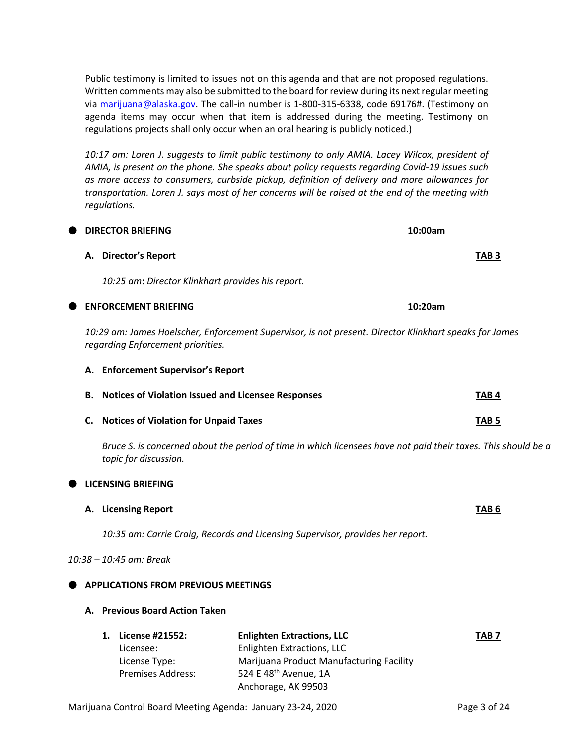**A. Director's Report TAB 3** Licensee: Enlighten Extractions, LLC License Type: Marijuana Product Manufacturing Facility Premises Address: 524 E 48<sup>th</sup> Avenue, 1A Anchorage, AK 99503

*10:29 am: James Hoelscher, Enforcement Supervisor, is not present. Director Klinkhart speaks for James regarding Enforcement priorities.* 

# **A. Enforcement Supervisor's Report**

| <b>B.</b> Notices of Violation Issued and Licensee Responses | TAB <sub>4</sub>       |
|--------------------------------------------------------------|------------------------|
| <b>Communicated and Michael and Communicated Traceae</b>     | $\tau$ a $\sim$ $\tau$ |

*Bruce S. is concerned about the period of time in which licensees have not paid their taxes. This should be a topic for discussion.*

# Public testimony is limited to issues not on this agenda and that are not proposed regulations. Written comments may also be submitted to the board for review during its next regular meeting via [marijuana@alaska.gov.](mailto:marijuana@alaska.gov) The call-in number is 1-800-315-6338, code 69176#. (Testimony on agenda items may occur when that item is addressed during the meeting. Testimony on regulations projects shall only occur when an oral hearing is publicly noticed.)

*10:17 am: Loren J. suggests to limit public testimony to only AMIA. Lacey Wilcox, president of AMIA, is present on the phone. She speaks about policy requests regarding Covid-19 issues such as more access to consumers, curbside pickup, definition of delivery and more allowances for transportation. Loren J. says most of her concerns will be raised at the end of the meeting with regulations.*

**DIRECTOR BRIEFING 10:00am**

*10:25 am***:** *Director Klinkhart provides his report.* **ENFORCEMENT BRIEFING 10:20am B. Notices of Violation Issued and Licensee Responses TAB 4 C. Notices of Violation for Unpaid Taxes TAB 5 LICENSING BRIEFING A. Licensing Report TAB 6** *10:35 am: Carrie Craig, Records and Licensing Supervisor, provides her report. 10:38 – 10:45 am: Break* **APPLICATIONS FROM PREVIOUS MEETINGS A. Previous Board Action Taken 1. License #21552: Enlighten Extractions, LLC TAB 7**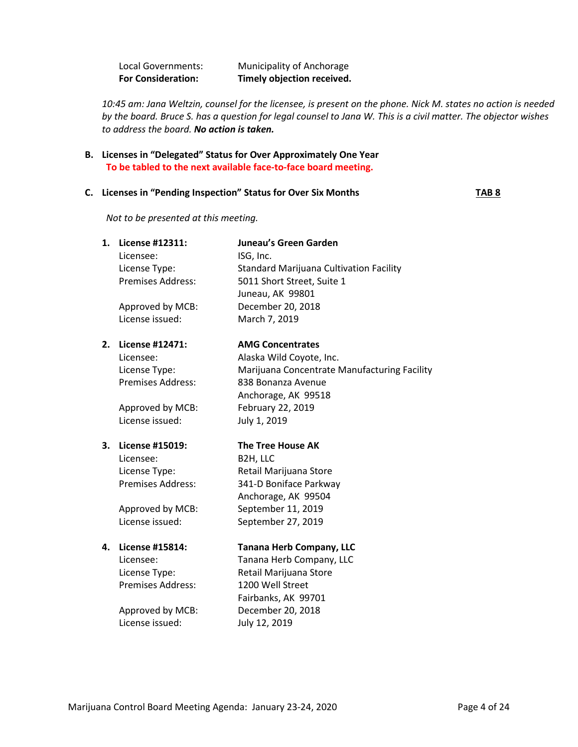Local Governments: Municipality of Anchorage **For Consideration: Timely objection received.**

*10:45 am: Jana Weltzin, counsel for the licensee, is present on the phone. Nick M. states no action is needed by the board. Bruce S. has a question for legal counsel to Jana W. This is a civil matter. The objector wishes to address the board. No action is taken.*

**B. Licenses in "Delegated" Status for Over Approximately One Year To be tabled to the next available face-to-face board meeting.**

### **C.** Licenses in "Pending Inspection" Status for Over Six Months **TAB 8**

*Not to be presented at this meeting.* 

| 1. | License #12311:          | <b>Juneau's Green Garden</b>                 |
|----|--------------------------|----------------------------------------------|
|    | Licensee:                | ISG, Inc.                                    |
|    | License Type:            | Standard Marijuana Cultivation Facility      |
|    | <b>Premises Address:</b> | 5011 Short Street, Suite 1                   |
|    |                          | Juneau, AK 99801                             |
|    | Approved by MCB:         | December 20, 2018                            |
|    | License issued:          | March 7, 2019                                |
| 2. | License #12471:          | <b>AMG Concentrates</b>                      |
|    | Licensee:                | Alaska Wild Coyote, Inc.                     |
|    | License Type:            | Marijuana Concentrate Manufacturing Facility |
|    | <b>Premises Address:</b> | 838 Bonanza Avenue                           |
|    |                          | Anchorage, AK 99518                          |
|    | Approved by MCB:         | February 22, 2019                            |
|    | License issued:          | July 1, 2019                                 |
|    |                          |                                              |
| 3. | License #15019:          | <b>The Tree House AK</b>                     |
|    | Licensee:                | B2H, LLC                                     |
|    | License Type:            | Retail Marijuana Store                       |
|    | <b>Premises Address:</b> | 341-D Boniface Parkway                       |
|    |                          | Anchorage, AK 99504                          |
|    | Approved by MCB:         | September 11, 2019                           |
|    | License issued:          | September 27, 2019                           |
| 4. | License #15814:          | <b>Tanana Herb Company, LLC</b>              |
|    | Licensee:                | Tanana Herb Company, LLC                     |
|    | License Type:            | Retail Marijuana Store                       |
|    | <b>Premises Address:</b> | 1200 Well Street                             |
|    |                          | Fairbanks, AK 99701                          |
|    | Approved by MCB:         | December 20, 2018                            |
|    | License issued:          | July 12, 2019                                |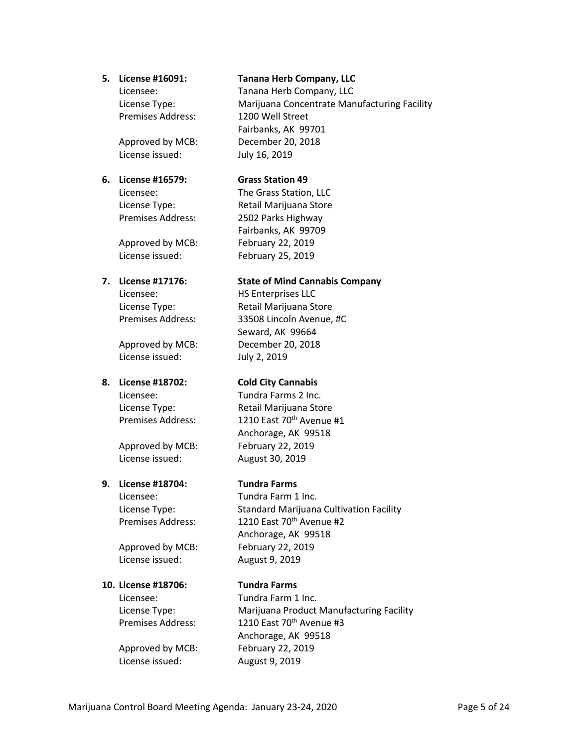Premises Address: 1200 Well Street

License issued: July 16, 2019

# **6. License #16579: Grass Station 49**

Approved by MCB: February 22, 2019 License issued: February 25, 2019

License issued: July 2, 2019

License issued: August 30, 2019

# **9. License #18704: Tundra Farms**

Approved by MCB: February 22, 2019 License issued: August 9, 2019

### **10. License #18706: Tundra Farms**

Approved by MCB: February 22, 2019 License issued: August 9, 2019

# **5. License #16091: Tanana Herb Company, LLC**

Licensee: Tanana Herb Company, LLC License Type: Marijuana Concentrate Manufacturing Facility Fairbanks, AK 99701 Approved by MCB: December 20, 2018

Licensee: The Grass Station, LLC License Type: Retail Marijuana Store Premises Address: 2502 Parks Highway Fairbanks, AK 99709

# **7. License #17176: State of Mind Cannabis Company**

Licensee: HS Enterprises LLC License Type: Retail Marijuana Store Premises Address: 33508 Lincoln Avenue, #C Seward, AK 99664 Approved by MCB: December 20, 2018

# **8. License #18702: Cold City Cannabis**

Licensee: Tundra Farms 2 Inc. License Type: Retail Marijuana Store Premises Address: 1210 East 70<sup>th</sup> Avenue #1 Anchorage, AK 99518 Approved by MCB: February 22, 2019

Licensee: Tundra Farm 1 Inc. License Type: Standard Marijuana Cultivation Facility Premises Address: 1210 East 70<sup>th</sup> Avenue #2 Anchorage, AK 99518

Licensee: Tundra Farm 1 Inc. License Type: Marijuana Product Manufacturing Facility Premises Address: 1210 East 70<sup>th</sup> Avenue #3 Anchorage, AK 99518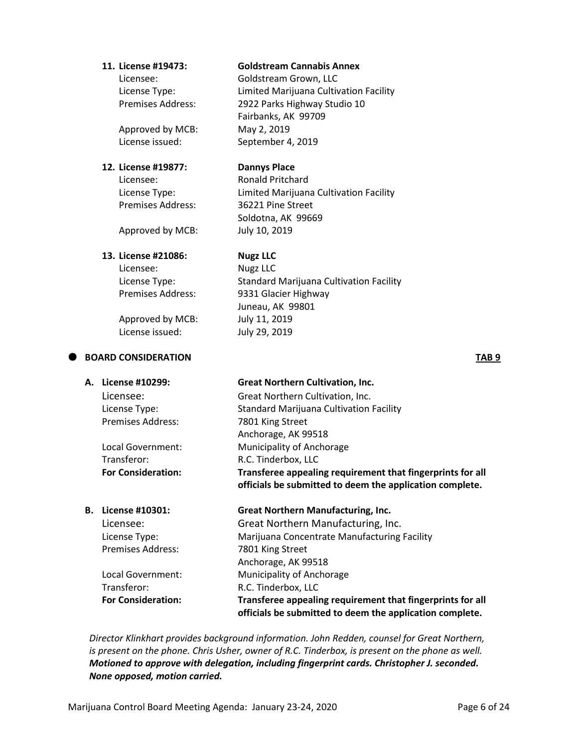### **11. License #19473: Goldstream Cannabis Annex**

Licensee: Goldstream Grown, LLC License Type: Limited Marijuana Cultivation Facility Premises Address: 2922 Parks Highway Studio 10

Approved by MCB: May 2, 2019

# **12. License #19877: Dannys Place**

Premises Address: 36221 Pine Street

License issued: September 4, 2019 Licensee: Ronald Pritchard License Type: Limited Marijuana Cultivation Facility Soldotna, AK 99669

Fairbanks, AK 99709

Approved by MCB: July 10, 2019

# **13. License #21086: Nugz LLC**

Licensee: Nugz LLC

Approved by MCB: July 11, 2019 License issued: July 29, 2019

# **BOARD CONSIDERATION TAB 9**

License Type: Standard Marijuana Cultivation Facility Premises Address: 9331 Glacier Highway Juneau, AK 99801

# **A. License #10299: Great Northern Cultivation, Inc.** Licensee: Great Northern Cultivation, Inc. License Type: Standard Marijuana Cultivation Facility Premises Address: 7801 King Street Anchorage, AK 99518 Local Government: Municipality of Anchorage Transferor: R.C. Tinderbox, LLC **For Consideration: Transferee appealing requirement that fingerprints for all officials be submitted to deem the application complete.**

**B. License #10301: Great Northern Manufacturing, Inc.** Licensee: Great Northern Manufacturing, Inc. License Type: Marijuana Concentrate Manufacturing Facility Premises Address: 7801 King Street Anchorage, AK 99518 Local Government: Municipality of Anchorage Transferor: R.C. Tinderbox, LLC **For Consideration: Transferee appealing requirement that fingerprints for all officials be submitted to deem the application complete.**

*Director Klinkhart provides background information. John Redden, counsel for Great Northern, is present on the phone. Chris Usher, owner of R.C. Tinderbox, is present on the phone as well. Motioned to approve with delegation, including fingerprint cards. Christopher J. seconded. None opposed, motion carried.*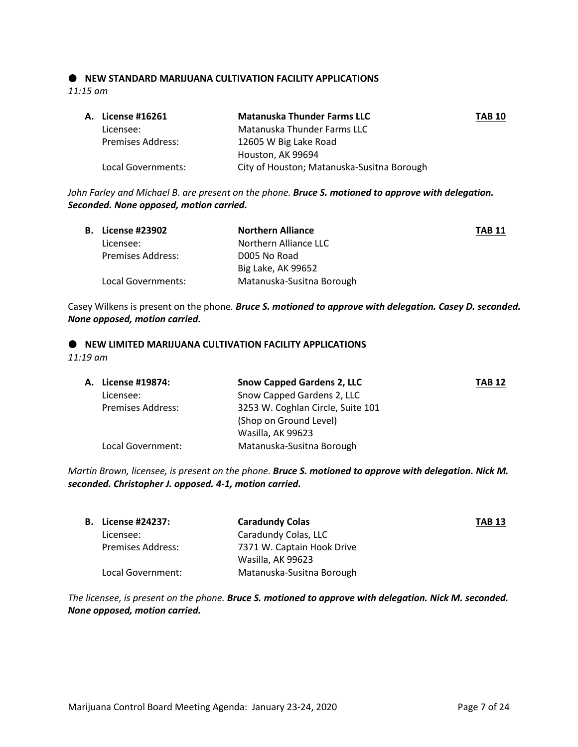# **NEW STANDARD MARIJUANA CULTIVATION FACILITY APPLICATIONS** *11:15 am*

| A. License #16261        | <b>Matanuska Thunder Farms LLC</b>         | <b>TAB 10</b> |
|--------------------------|--------------------------------------------|---------------|
| Licensee:                | Matanuska Thunder Farms LLC                |               |
| <b>Premises Address:</b> | 12605 W Big Lake Road                      |               |
|                          | Houston, AK 99694                          |               |
| Local Governments:       | City of Houston; Matanuska-Susitna Borough |               |

*John Farley and Michael B. are present on the phone. Bruce S. motioned to approve with delegation. Seconded. None opposed, motion carried.*

| <b>B.</b> License #23902 | <b>Northern Alliance</b>  | <b>TAB 11</b> |
|--------------------------|---------------------------|---------------|
| Licensee:                | Northern Alliance LLC     |               |
| Premises Address:        | D005 No Road              |               |
|                          | Big Lake, AK 99652        |               |
| Local Governments:       | Matanuska-Susitna Borough |               |

Casey Wilkens is present on the phone*. Bruce S. motioned to approve with delegation. Casey D. seconded. None opposed, motion carried.*

### $\bullet$  NEW LIMITED MARIJUANA CULTIVATION FACILITY APPLICATIONS *11:19 am*

| A. License #19874:       | <b>Snow Capped Gardens 2, LLC</b> | <b>TAB 12</b> |
|--------------------------|-----------------------------------|---------------|
| Licensee:                | Snow Capped Gardens 2, LLC        |               |
| <b>Premises Address:</b> | 3253 W. Coghlan Circle, Suite 101 |               |
|                          | (Shop on Ground Level)            |               |
|                          | Wasilla, AK 99623                 |               |
| Local Government:        | Matanuska-Susitna Borough         |               |

*Martin Brown, licensee, is present on the phone. Bruce S. motioned to approve with delegation. Nick M. seconded. Christopher J. opposed. 4-1, motion carried.*

| <b>B.</b> License #24237: | <b>Caradundy Colas</b>     | <b>TAB 13</b> |
|---------------------------|----------------------------|---------------|
| Licensee:                 | Caradundy Colas, LLC       |               |
| <b>Premises Address:</b>  | 7371 W. Captain Hook Drive |               |
|                           | Wasilla, AK 99623          |               |
| Local Government:         | Matanuska-Susitna Borough  |               |

*The licensee, is present on the phone. Bruce S. motioned to approve with delegation. Nick M. seconded. None opposed, motion carried.*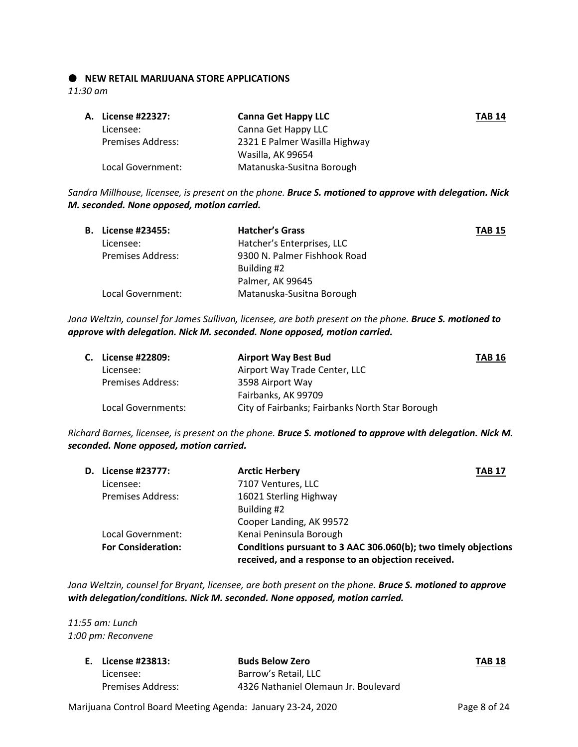### **NEW RETAIL MARIJUANA STORE APPLICATIONS**

*11:30 am*

| A. License #22327:       | <b>Canna Get Happy LLC</b>    | <b>TAB 14</b> |
|--------------------------|-------------------------------|---------------|
| Licensee:                | Canna Get Happy LLC           |               |
| <b>Premises Address:</b> | 2321 E Palmer Wasilla Highway |               |
|                          | Wasilla, AK 99654             |               |
| Local Government:        | Matanuska-Susitna Borough     |               |

*Sandra Millhouse, licensee, is present on the phone. Bruce S. motioned to approve with delegation. Nick M. seconded. None opposed, motion carried.*

| <b>B.</b> License #23455: | <b>Hatcher's Grass</b>       | <b>TAB 15</b> |
|---------------------------|------------------------------|---------------|
| Licensee:                 | Hatcher's Enterprises, LLC   |               |
| <b>Premises Address:</b>  | 9300 N. Palmer Fishhook Road |               |
|                           | Building #2                  |               |
|                           | Palmer, AK 99645             |               |
| Local Government:         | Matanuska-Susitna Borough    |               |
|                           |                              |               |

*Jana Weltzin, counsel for James Sullivan, licensee, are both present on the phone. Bruce S. motioned to approve with delegation. Nick M. seconded. None opposed, motion carried.*

| C. License #22809:       | <b>Airport Way Best Bud</b>                     | <b>TAB 16</b> |
|--------------------------|-------------------------------------------------|---------------|
| Licensee:                | Airport Way Trade Center, LLC                   |               |
| <b>Premises Address:</b> | 3598 Airport Way                                |               |
|                          | Fairbanks, AK 99709                             |               |
| Local Governments:       | City of Fairbanks; Fairbanks North Star Borough |               |

*Richard Barnes, licensee, is present on the phone. Bruce S. motioned to approve with delegation. Nick M. seconded. None opposed, motion carried.*

|                           | <b>Arctic Herbery</b><br><b>TAB 17</b>                         |                                                    |
|---------------------------|----------------------------------------------------------------|----------------------------------------------------|
| Licensee:                 | 7107 Ventures, LLC                                             |                                                    |
| <b>Premises Address:</b>  | 16021 Sterling Highway                                         |                                                    |
|                           | Building #2                                                    |                                                    |
|                           | Cooper Landing, AK 99572                                       |                                                    |
| Local Government:         | Kenai Peninsula Borough                                        |                                                    |
| <b>For Consideration:</b> | Conditions pursuant to 3 AAC 306.060(b); two timely objections |                                                    |
|                           | <b>D.</b> License #23777:                                      | received, and a response to an objection received. |

*Jana Weltzin, counsel for Bryant, licensee, are both present on the phone. Bruce S. motioned to approve with delegation/conditions. Nick M. seconded. None opposed, motion carried.*

*11:55 am: Lunch 1:00 pm: Reconvene* 

| E. License #23813: | <b>Buds Below Zero</b>               | <b>TAB 18</b> |
|--------------------|--------------------------------------|---------------|
| Licensee:          | Barrow's Retail, LLC                 |               |
| Premises Address:  | 4326 Nathaniel Olemaun Jr. Boulevard |               |

Marijuana Control Board Meeting Agenda: January 23-24, 2020 Page 8 of 24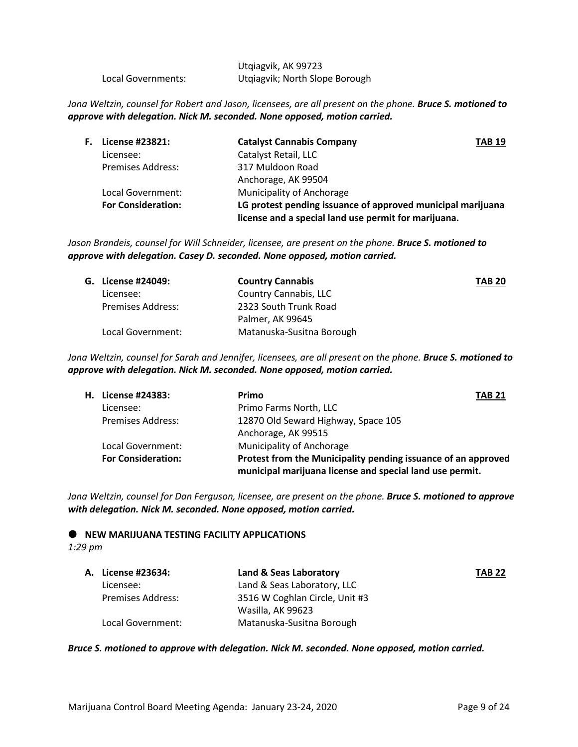|                    | Utqiagvik, AK 99723            |
|--------------------|--------------------------------|
| Local Governments: | Utgiagvik; North Slope Borough |

*Jana Weltzin, counsel for Robert and Jason, licensees, are all present on the phone. Bruce S. motioned to approve with delegation. Nick M. seconded. None opposed, motion carried.*

| F. | License #23821:           | <b>Catalyst Cannabis Company</b>                            | <b>TAB 19</b> |
|----|---------------------------|-------------------------------------------------------------|---------------|
|    | Licensee:                 | Catalyst Retail, LLC                                        |               |
|    | <b>Premises Address:</b>  | 317 Muldoon Road                                            |               |
|    |                           | Anchorage, AK 99504                                         |               |
|    | Local Government:         | <b>Municipality of Anchorage</b>                            |               |
|    | <b>For Consideration:</b> | LG protest pending issuance of approved municipal marijuana |               |
|    |                           | license and a special land use permit for marijuana.        |               |

*Jason Brandeis, counsel for Will Schneider, licensee, are present on the phone. Bruce S. motioned to approve with delegation. Casey D. seconded. None opposed, motion carried.*

| G. License #24049:       | <b>Country Cannabis</b>   | <b>TAB 20</b> |
|--------------------------|---------------------------|---------------|
| Licensee:                | Country Cannabis, LLC     |               |
| <b>Premises Address:</b> | 2323 South Trunk Road     |               |
|                          | Palmer, AK 99645          |               |
| Local Government:        | Matanuska-Susitna Borough |               |

*Jana Weltzin, counsel for Sarah and Jennifer, licensees, are all present on the phone. Bruce S. motioned to approve with delegation. Nick M. seconded. None opposed, motion carried.*

| License #24383:           | Primo<br><b>TAB 21</b>                                                                                                    |
|---------------------------|---------------------------------------------------------------------------------------------------------------------------|
| Licensee:                 | Primo Farms North, LLC                                                                                                    |
| <b>Premises Address:</b>  | 12870 Old Seward Highway, Space 105                                                                                       |
|                           | Anchorage, AK 99515                                                                                                       |
| Local Government:         | Municipality of Anchorage                                                                                                 |
| <b>For Consideration:</b> | Protest from the Municipality pending issuance of an approved<br>municipal marijuana license and special land use permit. |
|                           | н.                                                                                                                        |

*Jana Weltzin, counsel for Dan Ferguson, licensee, are present on the phone. Bruce S. motioned to approve with delegation. Nick M. seconded. None opposed, motion carried.*

 $\bullet$  NEW MARIJUANA TESTING FACILITY APPLICATIONS

*1:29 pm*

| A. License #23634:       | Land & Seas Laboratory         | <b>TAB 22</b> |
|--------------------------|--------------------------------|---------------|
| Licensee:                | Land & Seas Laboratory, LLC    |               |
| <b>Premises Address:</b> | 3516 W Coghlan Circle, Unit #3 |               |
|                          | Wasilla, AK 99623              |               |
| Local Government:        | Matanuska-Susitna Borough      |               |

*Bruce S. motioned to approve with delegation. Nick M. seconded. None opposed, motion carried.*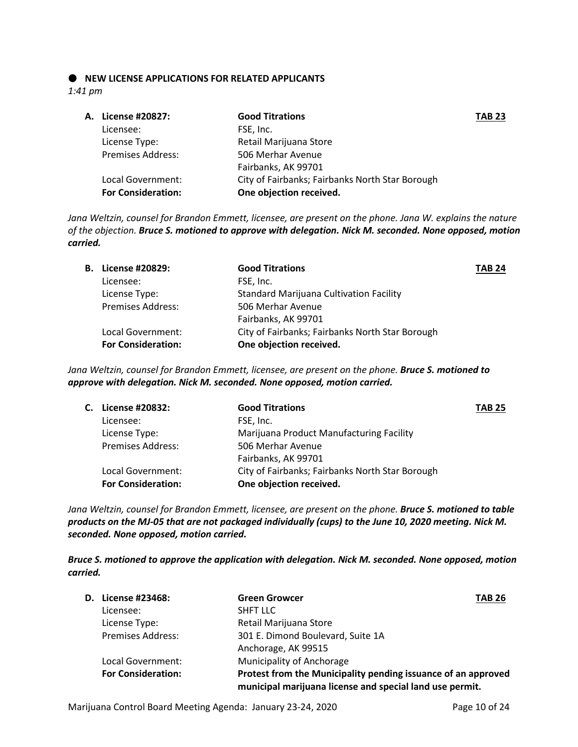# $\bullet$  NEW LICENSE APPLICATIONS FOR RELATED APPLICANTS

*1:41 pm*

| A. License #20827:        | <b>Good Titrations</b>                          | <b>TAB 23</b> |
|---------------------------|-------------------------------------------------|---------------|
| Licensee:                 | FSE, Inc.                                       |               |
| License Type:             | Retail Marijuana Store                          |               |
| <b>Premises Address:</b>  | 506 Merhar Avenue                               |               |
|                           | Fairbanks, AK 99701                             |               |
| Local Government:         | City of Fairbanks; Fairbanks North Star Borough |               |
| <b>For Consideration:</b> | One objection received.                         |               |
|                           |                                                 |               |

*Jana Weltzin, counsel for Brandon Emmett, licensee, are present on the phone. Jana W. explains the nature of the objection. Bruce S. motioned to approve with delegation. Nick M. seconded. None opposed, motion carried.*

| <b>B.</b> License #20829: | <b>Good Titrations</b>                          | <b>TAB 24</b> |
|---------------------------|-------------------------------------------------|---------------|
| Licensee:                 | FSE, Inc.                                       |               |
| License Type:             | <b>Standard Marijuana Cultivation Facility</b>  |               |
| <b>Premises Address:</b>  | 506 Merhar Avenue                               |               |
|                           | Fairbanks, AK 99701                             |               |
| Local Government:         | City of Fairbanks; Fairbanks North Star Borough |               |
| <b>For Consideration:</b> | One objection received.                         |               |

*Jana Weltzin, counsel for Brandon Emmett, licensee, are present on the phone. Bruce S. motioned to approve with delegation. Nick M. seconded. None opposed, motion carried.*

| C. License #20832:        | <b>Good Titrations</b>                          | <b>TAB 25</b> |
|---------------------------|-------------------------------------------------|---------------|
| Licensee:                 | FSE, Inc.                                       |               |
| License Type:             | Marijuana Product Manufacturing Facility        |               |
| <b>Premises Address:</b>  | 506 Merhar Avenue                               |               |
|                           | Fairbanks, AK 99701                             |               |
| Local Government:         | City of Fairbanks; Fairbanks North Star Borough |               |
| <b>For Consideration:</b> | One objection received.                         |               |
|                           |                                                 |               |

*Jana Weltzin, counsel for Brandon Emmett, licensee, are present on the phone. Bruce S. motioned to table products on the MJ-05 that are not packaged individually (cups) to the June 10, 2020 meeting. Nick M. seconded. None opposed, motion carried.*

*Bruce S. motioned to approve the application with delegation. Nick M. seconded. None opposed, motion carried.*

| D. License #23468:        | <b>Green Growcer</b>                                                                                                      | <b>TAB 26</b> |
|---------------------------|---------------------------------------------------------------------------------------------------------------------------|---------------|
| Licensee:                 | <b>SHFT LLC</b>                                                                                                           |               |
| License Type:             | Retail Marijuana Store                                                                                                    |               |
| <b>Premises Address:</b>  | 301 E. Dimond Boulevard, Suite 1A                                                                                         |               |
|                           | Anchorage, AK 99515                                                                                                       |               |
| Local Government:         | Municipality of Anchorage                                                                                                 |               |
| <b>For Consideration:</b> | Protest from the Municipality pending issuance of an approved<br>municipal marijuana license and special land use permit. |               |

Marijuana Control Board Meeting Agenda: January 23-24, 2020 Page 10 of 24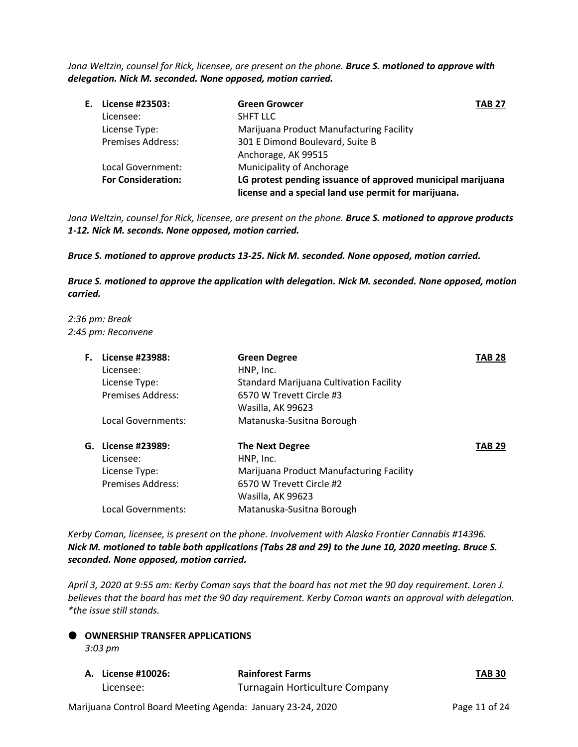*Jana Weltzin, counsel for Rick, licensee, are present on the phone. Bruce S. motioned to approve with delegation. Nick M. seconded. None opposed, motion carried.*

| E. License #23503:        | <b>Green Growcer</b>                                        | <b>TAB 27</b> |
|---------------------------|-------------------------------------------------------------|---------------|
| Licensee:                 | <b>SHFT LLC</b>                                             |               |
| License Type:             | Marijuana Product Manufacturing Facility                    |               |
| <b>Premises Address:</b>  | 301 E Dimond Boulevard, Suite B                             |               |
|                           | Anchorage, AK 99515                                         |               |
| Local Government:         | Municipality of Anchorage                                   |               |
| <b>For Consideration:</b> | LG protest pending issuance of approved municipal marijuana |               |
|                           | license and a special land use permit for marijuana.        |               |

*Jana Weltzin, counsel for Rick, licensee, are present on the phone. Bruce S. motioned to approve products 1-12. Nick M. seconds. None opposed, motion carried.* 

*Bruce S. motioned to approve products 13-25. Nick M. seconded. None opposed, motion carried.*

*Bruce S. motioned to approve the application with delegation. Nick M. seconded. None opposed, motion carried.*

*2:36 pm: Break 2:45 pm: Reconvene*

| F. | License #23988:<br>Licensee: | <b>Green Degree</b><br>HNP, Inc.         | TAB 28        |
|----|------------------------------|------------------------------------------|---------------|
|    | License Type:                | Standard Marijuana Cultivation Facility  |               |
|    | <b>Premises Address:</b>     | 6570 W Trevett Circle #3                 |               |
|    |                              | Wasilla, AK 99623                        |               |
|    | Local Governments:           | Matanuska-Susitna Borough                |               |
|    | G. License #23989:           | <b>The Next Degree</b>                   | <b>TAB 29</b> |
|    | Licensee:                    | HNP, Inc.                                |               |
|    | License Type:                | Marijuana Product Manufacturing Facility |               |
|    | Premises Address:            | 6570 W Trevett Circle #2                 |               |
|    |                              | Wasilla, AK 99623                        |               |
|    | Local Governments:           | Matanuska-Susitna Borough                |               |
|    |                              |                                          |               |

*Kerby Coman, licensee, is present on the phone. Involvement with Alaska Frontier Cannabis #14396. Nick M. motioned to table both applications (Tabs 28 and 29) to the June 10, 2020 meeting. Bruce S. seconded. None opposed, motion carried.*

*April 3, 2020 at 9:55 am: Kerby Coman says that the board has not met the 90 day requirement. Loren J. believes that the board has met the 90 day requirement. Kerby Coman wants an approval with delegation. \*the issue still stands.* 

**OWNERSHIP TRANSFER APPLICATIONS** 

*3:03 pm*

| A. License #10026: | <b>Rainforest Farms</b>        | <b>TAB 30</b> |
|--------------------|--------------------------------|---------------|
| Licensee:          | Turnagain Horticulture Company |               |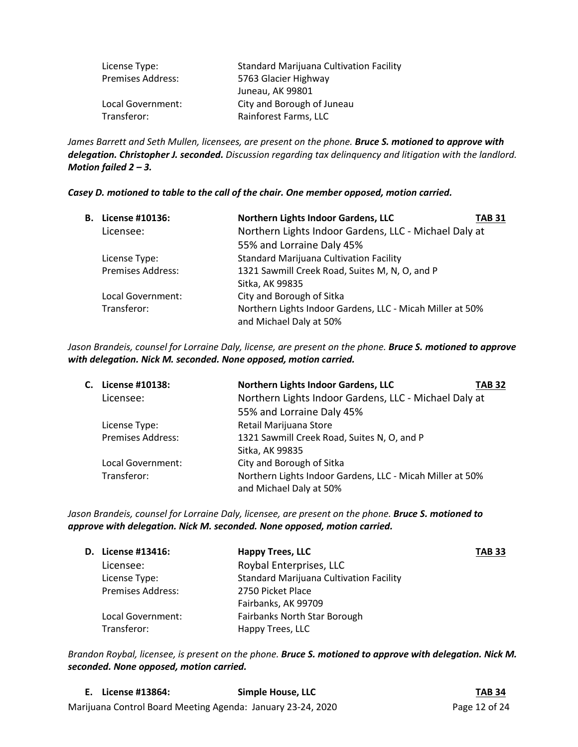| License Type:            | <b>Standard Marijuana Cultivation Facility</b> |
|--------------------------|------------------------------------------------|
| <b>Premises Address:</b> | 5763 Glacier Highway                           |
|                          | Juneau, AK 99801                               |
| Local Government:        | City and Borough of Juneau                     |
| Transferor:              | Rainforest Farms, LLC                          |

James Barrett and Seth Mullen, licensees, are present on the phone. **Bruce S. motioned to approve with** *delegation. Christopher J. seconded. Discussion regarding tax delinquency and litigation with the landlord. Motion failed 2 – 3.*

# *Casey D. motioned to table to the call of the chair. One member opposed, motion carried.*

| В. | License #10136:          | Northern Lights Indoor Gardens, LLC                                                  | <b>TAB 31</b> |
|----|--------------------------|--------------------------------------------------------------------------------------|---------------|
|    | Licensee:                | Northern Lights Indoor Gardens, LLC - Michael Daly at                                |               |
|    |                          | 55% and Lorraine Daly 45%                                                            |               |
|    | License Type:            | <b>Standard Marijuana Cultivation Facility</b>                                       |               |
|    | <b>Premises Address:</b> | 1321 Sawmill Creek Road, Suites M, N, O, and P                                       |               |
|    |                          | Sitka, AK 99835                                                                      |               |
|    | Local Government:        | City and Borough of Sitka                                                            |               |
|    | Transferor:              | Northern Lights Indoor Gardens, LLC - Micah Miller at 50%<br>and Michael Daly at 50% |               |

*Jason Brandeis, counsel for Lorraine Daly, license, are present on the phone. Bruce S. motioned to approve with delegation. Nick M. seconded. None opposed, motion carried.*

| C. License #10138:       | Northern Lights Indoor Gardens, LLC                                                  | TAB 32 |
|--------------------------|--------------------------------------------------------------------------------------|--------|
| Licensee:                | Northern Lights Indoor Gardens, LLC - Michael Daly at                                |        |
|                          | 55% and Lorraine Daly 45%                                                            |        |
| License Type:            | Retail Marijuana Store                                                               |        |
| <b>Premises Address:</b> | 1321 Sawmill Creek Road, Suites N, O, and P                                          |        |
|                          | Sitka, AK 99835                                                                      |        |
| Local Government:        | City and Borough of Sitka                                                            |        |
| Transferor:              | Northern Lights Indoor Gardens, LLC - Micah Miller at 50%<br>and Michael Daly at 50% |        |

*Jason Brandeis, counsel for Lorraine Daly, licensee, are present on the phone. Bruce S. motioned to approve with delegation. Nick M. seconded. None opposed, motion carried.*

| <b>D.</b> License #13416: | <b>Happy Trees, LLC</b>                        | <b>TAB 33</b> |
|---------------------------|------------------------------------------------|---------------|
| Licensee:                 | Roybal Enterprises, LLC                        |               |
| License Type:             | <b>Standard Marijuana Cultivation Facility</b> |               |
| <b>Premises Address:</b>  | 2750 Picket Place                              |               |
|                           | Fairbanks, AK 99709                            |               |
| Local Government:         | Fairbanks North Star Borough                   |               |
| Transferor:               | Happy Trees, LLC                               |               |

*Brandon Roybal, licensee, is present on the phone. Bruce S. motioned to approve with delegation. Nick M. seconded. None opposed, motion carried.*

| E. License #13864:                                          | Simple House, LLC | <b>TAB 34</b> |
|-------------------------------------------------------------|-------------------|---------------|
| Marijuana Control Board Meeting Agenda: January 23-24, 2020 |                   | Page 12 of 24 |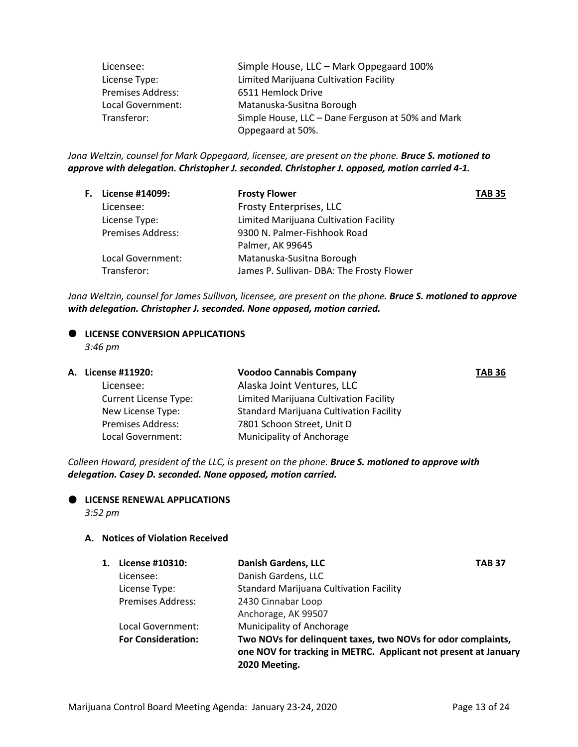| Licensee:                | Simple House, LLC - Mark Oppegaard 100%           |
|--------------------------|---------------------------------------------------|
| License Type:            | Limited Marijuana Cultivation Facility            |
| <b>Premises Address:</b> | 6511 Hemlock Drive                                |
| Local Government:        | Matanuska-Susitna Borough                         |
| Transferor:              | Simple House, LLC - Dane Ferguson at 50% and Mark |
|                          | Oppegaard at 50%.                                 |

*Jana Weltzin, counsel for Mark Oppegaard, licensee, are present on the phone. Bruce S. motioned to approve with delegation. Christopher J. seconded. Christopher J. opposed, motion carried 4-1.*

| <b>F.</b> License #14099: | <b>Frosty Flower</b>                      | <b>TAB 35</b> |
|---------------------------|-------------------------------------------|---------------|
| Licensee:                 | Frosty Enterprises, LLC                   |               |
| License Type:             | Limited Marijuana Cultivation Facility    |               |
| <b>Premises Address:</b>  | 9300 N. Palmer-Fishhook Road              |               |
|                           | Palmer, AK 99645                          |               |
| Local Government:         | Matanuska-Susitna Borough                 |               |
| Transferor:               | James P. Sullivan- DBA: The Frosty Flower |               |

*Jana Weltzin, counsel for James Sullivan, licensee, are present on the phone. Bruce S. motioned to approve with delegation. Christopher J. seconded. None opposed, motion carried.*

# $\bullet$  LICENSE CONVERSION APPLICATIONS

*3:46 pm*

| А. | License #11920:              | <b>Voodoo Cannabis Company</b>                 | <b>TAB 36</b> |
|----|------------------------------|------------------------------------------------|---------------|
|    | Licensee:                    | Alaska Joint Ventures, LLC                     |               |
|    | <b>Current License Type:</b> | Limited Marijuana Cultivation Facility         |               |
|    | New License Type:            | <b>Standard Marijuana Cultivation Facility</b> |               |
|    | <b>Premises Address:</b>     | 7801 Schoon Street, Unit D                     |               |
|    | Local Government:            | Municipality of Anchorage                      |               |

*Colleen Howard, president of the LLC, is present on the phone. Bruce S. motioned to approve with delegation. Casey D. seconded. None opposed, motion carried.*



 **LICENSE RENEWAL APPLICATIONS** *3:52 pm*

# **A. Notices of Violation Received**

| 1. | License #10310:           | <b>Danish Gardens, LLC</b>                                                                                                                       | TAB 37 |
|----|---------------------------|--------------------------------------------------------------------------------------------------------------------------------------------------|--------|
|    | Licensee:                 | Danish Gardens, LLC                                                                                                                              |        |
|    | License Type:             | <b>Standard Marijuana Cultivation Facility</b>                                                                                                   |        |
|    | <b>Premises Address:</b>  | 2430 Cinnabar Loop                                                                                                                               |        |
|    |                           | Anchorage, AK 99507                                                                                                                              |        |
|    | Local Government:         | <b>Municipality of Anchorage</b>                                                                                                                 |        |
|    | <b>For Consideration:</b> | Two NOVs for delinquent taxes, two NOVs for odor complaints,<br>one NOV for tracking in METRC. Applicant not present at January<br>2020 Meeting. |        |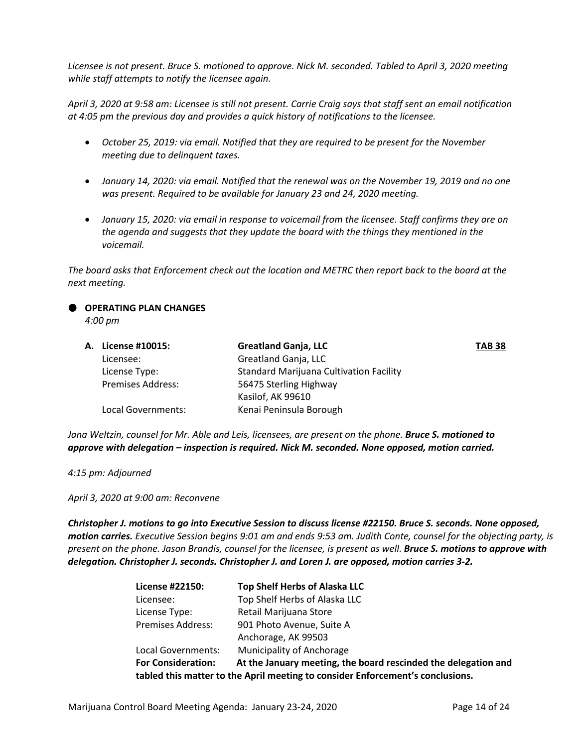*Licensee is not present. Bruce S. motioned to approve. Nick M. seconded. Tabled to April 3, 2020 meeting while staff attempts to notify the licensee again.* 

*April 3, 2020 at 9:58 am: Licensee is still not present. Carrie Craig says that staff sent an email notification at 4:05 pm the previous day and provides a quick history of notifications to the licensee.*

- *October 25, 2019: via email. Notified that they are required to be present for the November meeting due to delinquent taxes.*
- *January 14, 2020: via email. Notified that the renewal was on the November 19, 2019 and no one was present. Required to be available for January 23 and 24, 2020 meeting.*
- *January 15, 2020: via email in response to voicemail from the licensee. Staff confirms they are on the agenda and suggests that they update the board with the things they mentioned in the voicemail.*

*The board asks that Enforcement check out the location and METRC then report back to the board at the next meeting.*

# **OPERATING PLAN CHANGES**

*4:00 pm*

| <b>A.</b> License #10015: | <b>Greatland Ganja, LLC</b>                    | <b>TAB 38</b> |
|---------------------------|------------------------------------------------|---------------|
| Licensee:                 | Greatland Ganja, LLC                           |               |
| License Type:             | <b>Standard Marijuana Cultivation Facility</b> |               |
| <b>Premises Address:</b>  | 56475 Sterling Highway                         |               |
|                           | Kasilof, AK 99610                              |               |
| Local Governments:        | Kenai Peninsula Borough                        |               |
|                           |                                                |               |

*Jana Weltzin, counsel for Mr. Able and Leis, licensees, are present on the phone. Bruce S. motioned to approve with delegation – inspection is required. Nick M. seconded. None opposed, motion carried.*

*4:15 pm: Adjourned*

*April 3, 2020 at 9:00 am: Reconvene*

*Christopher J. motions to go into Executive Session to discuss license #22150. Bruce S. seconds. None opposed, motion carries. Executive Session begins 9:01 am and ends 9:53 am. Judith Conte, counsel for the objecting party, is present on the phone. Jason Brandis, counsel for the licensee, is present as well. Bruce S. motions to approve with delegation. Christopher J. seconds. Christopher J. and Loren J. are opposed, motion carries 3-2.*

| License #22150:                                                                | <b>Top Shelf Herbs of Alaska LLC</b>                           |  |
|--------------------------------------------------------------------------------|----------------------------------------------------------------|--|
| Licensee:                                                                      | Top Shelf Herbs of Alaska LLC                                  |  |
| License Type:                                                                  | Retail Marijuana Store                                         |  |
| <b>Premises Address:</b>                                                       | 901 Photo Avenue, Suite A                                      |  |
|                                                                                | Anchorage, AK 99503                                            |  |
| Local Governments:                                                             | Municipality of Anchorage                                      |  |
| <b>For Consideration:</b>                                                      | At the January meeting, the board rescinded the delegation and |  |
| tabled this matter to the April meeting to consider Enforcement's conclusions. |                                                                |  |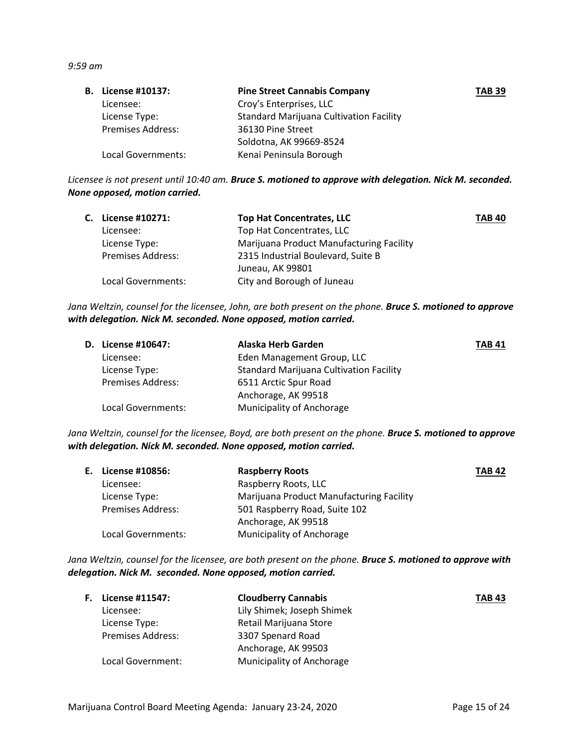*9:59 am*

| <b>B.</b> License #10137: | <b>Pine Street Cannabis Company</b>            | <b>TAB 39</b> |
|---------------------------|------------------------------------------------|---------------|
| Licensee:                 | Croy's Enterprises, LLC                        |               |
| License Type:             | <b>Standard Marijuana Cultivation Facility</b> |               |
| <b>Premises Address:</b>  | 36130 Pine Street                              |               |
|                           | Soldotna, AK 99669-8524                        |               |
| Local Governments:        | Kenai Peninsula Borough                        |               |

*Licensee is not present until 10:40 am. Bruce S. motioned to approve with delegation. Nick M. seconded. None opposed, motion carried.*

| C. License #10271:       | <b>Top Hat Concentrates, LLC</b>         | <b>TAB 40</b> |
|--------------------------|------------------------------------------|---------------|
| Licensee:                | Top Hat Concentrates, LLC                |               |
| License Type:            | Marijuana Product Manufacturing Facility |               |
| <b>Premises Address:</b> | 2315 Industrial Boulevard, Suite B       |               |
|                          | Juneau, AK 99801                         |               |
| Local Governments:       | City and Borough of Juneau               |               |

*Jana Weltzin, counsel for the licensee, John, are both present on the phone. Bruce S. motioned to approve with delegation. Nick M. seconded. None opposed, motion carried.*

| <b>D.</b> License #10647: | Alaska Herb Garden                             | <b>TAB 41</b> |
|---------------------------|------------------------------------------------|---------------|
| Licensee:                 | Eden Management Group, LLC                     |               |
| License Type:             | <b>Standard Marijuana Cultivation Facility</b> |               |
| <b>Premises Address:</b>  | 6511 Arctic Spur Road                          |               |
|                           | Anchorage, AK 99518                            |               |
| Local Governments:        | Municipality of Anchorage                      |               |

*Jana Weltzin, counsel for the licensee, Boyd, are both present on the phone. Bruce S. motioned to approve with delegation. Nick M. seconded. None opposed, motion carried.*

| E. License #10856:       | <b>Raspberry Roots</b>                   | <b>TAB 42</b> |
|--------------------------|------------------------------------------|---------------|
| Licensee:                | Raspberry Roots, LLC                     |               |
| License Type:            | Marijuana Product Manufacturing Facility |               |
| <b>Premises Address:</b> | 501 Raspberry Road, Suite 102            |               |
|                          | Anchorage, AK 99518                      |               |
| Local Governments:       | Municipality of Anchorage                |               |

*Jana Weltzin, counsel for the licensee, are both present on the phone. Bruce S. motioned to approve with delegation. Nick M. seconded. None opposed, motion carried.*

| <b>F.</b> License #11547: | <b>Cloudberry Cannabis</b>       | <b>TAB 43</b> |
|---------------------------|----------------------------------|---------------|
| Licensee:                 | Lily Shimek; Joseph Shimek       |               |
| License Type:             | Retail Marijuana Store           |               |
| <b>Premises Address:</b>  | 3307 Spenard Road                |               |
|                           | Anchorage, AK 99503              |               |
| Local Government:         | <b>Municipality of Anchorage</b> |               |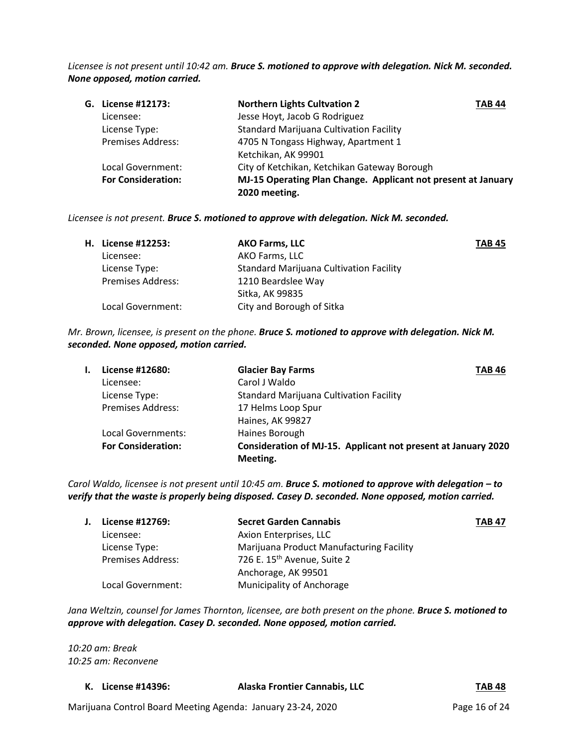*Licensee is not present until 10:42 am. Bruce S. motioned to approve with delegation. Nick M. seconded. None opposed, motion carried.*

| G. License #12173:        | <b>Northern Lights Cultvation 2</b><br><b>TAB 44</b>          |  |
|---------------------------|---------------------------------------------------------------|--|
| Licensee:                 | Jesse Hoyt, Jacob G Rodriguez                                 |  |
| License Type:             | <b>Standard Marijuana Cultivation Facility</b>                |  |
| <b>Premises Address:</b>  | 4705 N Tongass Highway, Apartment 1                           |  |
|                           | Ketchikan, AK 99901                                           |  |
| Local Government:         | City of Ketchikan, Ketchikan Gateway Borough                  |  |
| <b>For Consideration:</b> | MJ-15 Operating Plan Change. Applicant not present at January |  |
|                           | 2020 meeting.                                                 |  |

*Licensee is not present. Bruce S. motioned to approve with delegation. Nick M. seconded.* 

|                          | <b>AKO Farms, LLC</b>                          | <b>TAB 45</b> |
|--------------------------|------------------------------------------------|---------------|
| Licensee:                | AKO Farms, LLC                                 |               |
| License Type:            | <b>Standard Marijuana Cultivation Facility</b> |               |
| <b>Premises Address:</b> | 1210 Beardslee Way                             |               |
|                          | Sitka, AK 99835                                |               |
| Local Government:        | City and Borough of Sitka                      |               |
|                          | H. License #12253:                             |               |

*Mr. Brown, licensee, is present on the phone. Bruce S. motioned to approve with delegation. Nick M. seconded. None opposed, motion carried.*

| License #12680:           | <b>Glacier Bay Farms</b>                                      | <b>TAB 46</b> |
|---------------------------|---------------------------------------------------------------|---------------|
| Licensee:                 | Carol J Waldo                                                 |               |
| License Type:             | <b>Standard Marijuana Cultivation Facility</b>                |               |
| <b>Premises Address:</b>  | 17 Helms Loop Spur                                            |               |
|                           | Haines, AK 99827                                              |               |
| Local Governments:        | Haines Borough                                                |               |
| <b>For Consideration:</b> | Consideration of MJ-15. Applicant not present at January 2020 |               |
|                           | Meeting.                                                      |               |

*Carol Waldo, licensee is not present until 10:45 am. Bruce S. motioned to approve with delegation – to verify that the waste is properly being disposed. Casey D. seconded. None opposed, motion carried.*

| License #12769:          | <b>Secret Garden Cannabis</b>            | <b>TAB 47</b> |
|--------------------------|------------------------------------------|---------------|
| Licensee:                | Axion Enterprises, LLC                   |               |
| License Type:            | Marijuana Product Manufacturing Facility |               |
| <b>Premises Address:</b> | 726 E. 15 <sup>th</sup> Avenue, Suite 2  |               |
|                          | Anchorage, AK 99501                      |               |
| Local Government:        | Municipality of Anchorage                |               |

*Jana Weltzin, counsel for James Thornton, licensee, are both present on the phone. Bruce S. motioned to approve with delegation. Casey D. seconded. None opposed, motion carried.*

*10:20 am: Break 10:25 am: Reconvene*

| K. License #14396: | Alaska Frontier Cannabis, LLC<br><b>TAB 48</b> |
|--------------------|------------------------------------------------|
|--------------------|------------------------------------------------|

Marijuana Control Board Meeting Agenda: January 23-24, 2020 Page 16 of 24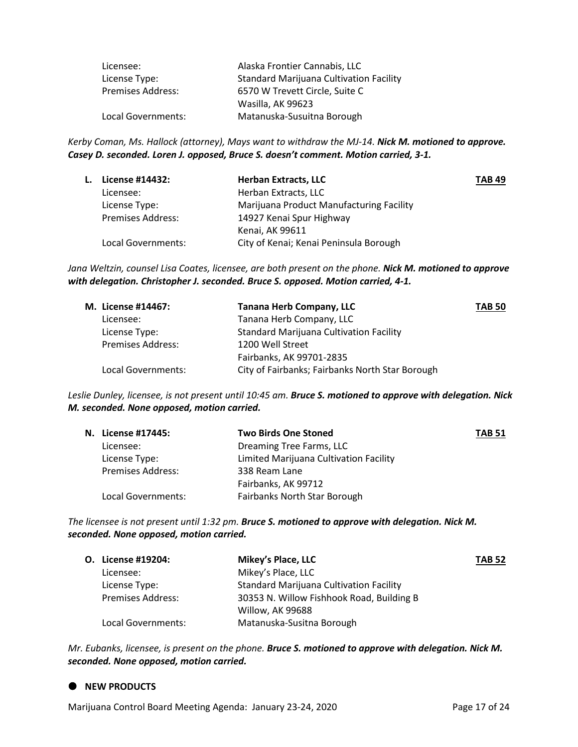| Licensee:                | Alaska Frontier Cannabis, LLC                  |
|--------------------------|------------------------------------------------|
| License Type:            | <b>Standard Marijuana Cultivation Facility</b> |
| <b>Premises Address:</b> | 6570 W Trevett Circle, Suite C                 |
|                          | Wasilla, AK 99623                              |
| Local Governments:       | Matanuska-Susuitna Borough                     |

*Kerby Coman, Ms. Hallock (attorney), Mays want to withdraw the MJ-14. Nick M. motioned to approve. Casey D. seconded. Loren J. opposed, Bruce S. doesn't comment. Motion carried, 3-1.*

| L. | License #14432:          | <b>Herban Extracts, LLC</b>              | <b>TAB 49</b> |
|----|--------------------------|------------------------------------------|---------------|
|    | Licensee:                | Herban Extracts, LLC                     |               |
|    | License Type:            | Marijuana Product Manufacturing Facility |               |
|    | <b>Premises Address:</b> | 14927 Kenai Spur Highway                 |               |
|    |                          | Kenai, AK 99611                          |               |
|    | Local Governments:       | City of Kenai; Kenai Peninsula Borough   |               |

*Jana Weltzin, counsel Lisa Coates, licensee, are both present on the phone. Nick M. motioned to approve with delegation. Christopher J. seconded. Bruce S. opposed. Motion carried, 4-1.*

| M. License #14467:       | <b>Tanana Herb Company, LLC</b>                 | <b>TAB 50</b> |
|--------------------------|-------------------------------------------------|---------------|
| Licensee:                | Tanana Herb Company, LLC                        |               |
| License Type:            | <b>Standard Marijuana Cultivation Facility</b>  |               |
| <b>Premises Address:</b> | 1200 Well Street                                |               |
|                          | Fairbanks, AK 99701-2835                        |               |
| Local Governments:       | City of Fairbanks; Fairbanks North Star Borough |               |

*Leslie Dunley, licensee, is not present until 10:45 am. Bruce S. motioned to approve with delegation. Nick M. seconded. None opposed, motion carried.*

| N. License #17445:       | <b>Two Birds One Stoned</b>            | <b>TAB 51</b> |
|--------------------------|----------------------------------------|---------------|
| Licensee:                | Dreaming Tree Farms, LLC               |               |
| License Type:            | Limited Marijuana Cultivation Facility |               |
| <b>Premises Address:</b> | 338 Ream Lane                          |               |
|                          | Fairbanks, AK 99712                    |               |
| Local Governments:       | Fairbanks North Star Borough           |               |

*The licensee is not present until 1:32 pm. Bruce S. motioned to approve with delegation. Nick M. seconded. None opposed, motion carried.*

| O. License #19204:       | Mikey's Place, LLC                             | <b>TAB 52</b> |
|--------------------------|------------------------------------------------|---------------|
| Licensee:                | Mikey's Place, LLC                             |               |
| License Type:            | <b>Standard Marijuana Cultivation Facility</b> |               |
| <b>Premises Address:</b> | 30353 N. Willow Fishhook Road, Building B      |               |
|                          | Willow, AK 99688                               |               |
| Local Governments:       | Matanuska-Susitna Borough                      |               |

*Mr. Eubanks, licensee, is present on the phone. Bruce S. motioned to approve with delegation. Nick M. seconded. None opposed, motion carried.*

### $\bullet$  NEW PRODUCTS

Marijuana Control Board Meeting Agenda: January 23-24, 2020 Page 17 of 24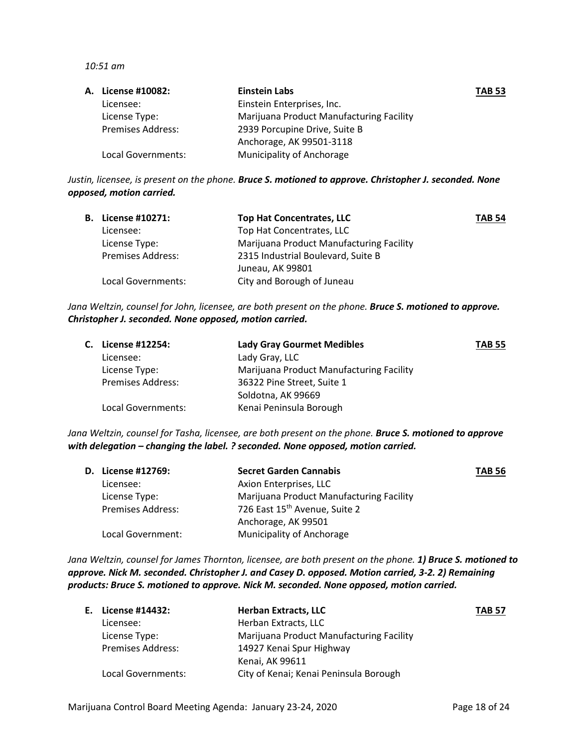*10:51 am*

| <b>A.</b> License #10082: | Einstein Labs                            | <b>TAB 53</b> |
|---------------------------|------------------------------------------|---------------|
| Licensee:                 | Einstein Enterprises, Inc.               |               |
| License Type:             | Marijuana Product Manufacturing Facility |               |
| <b>Premises Address:</b>  | 2939 Porcupine Drive, Suite B            |               |
|                           | Anchorage, AK 99501-3118                 |               |
| Local Governments:        | Municipality of Anchorage                |               |

*Justin, licensee, is present on the phone. Bruce S. motioned to approve. Christopher J. seconded. None opposed, motion carried.*

| <b>B.</b> License #10271: | <b>Top Hat Concentrates, LLC</b>         | <b>TAB 54</b> |
|---------------------------|------------------------------------------|---------------|
| Licensee:                 | Top Hat Concentrates, LLC                |               |
| License Type:             | Marijuana Product Manufacturing Facility |               |
| <b>Premises Address:</b>  | 2315 Industrial Boulevard, Suite B       |               |
|                           | Juneau, AK 99801                         |               |
| Local Governments:        | City and Borough of Juneau               |               |

*Jana Weltzin, counsel for John, licensee, are both present on the phone. Bruce S. motioned to approve. Christopher J. seconded. None opposed, motion carried.*

| C. License #12254:       | <b>Lady Gray Gourmet Medibles</b>        | <b>TAB 55</b> |
|--------------------------|------------------------------------------|---------------|
| Licensee:                | Lady Gray, LLC                           |               |
| License Type:            | Marijuana Product Manufacturing Facility |               |
| <b>Premises Address:</b> | 36322 Pine Street, Suite 1               |               |
|                          | Soldotna, AK 99669                       |               |
| Local Governments:       | Kenai Peninsula Borough                  |               |

*Jana Weltzin, counsel for Tasha, licensee, are both present on the phone. Bruce S. motioned to approve with delegation – changing the label. ? seconded. None opposed, motion carried.*

| <b>D.</b> License #12769: | <b>Secret Garden Cannabis</b>             | <b>TAB 56</b> |
|---------------------------|-------------------------------------------|---------------|
| Licensee:                 | Axion Enterprises, LLC                    |               |
| License Type:             | Marijuana Product Manufacturing Facility  |               |
| <b>Premises Address:</b>  | 726 East 15 <sup>th</sup> Avenue, Suite 2 |               |
|                           | Anchorage, AK 99501                       |               |
| Local Government:         | <b>Municipality of Anchorage</b>          |               |

*Jana Weltzin, counsel for James Thornton, licensee, are both present on the phone. 1) Bruce S. motioned to approve. Nick M. seconded. Christopher J. and Casey D. opposed. Motion carried, 3-2. 2) Remaining products: Bruce S. motioned to approve. Nick M. seconded. None opposed, motion carried.*

| E. License #14432:       | <b>Herban Extracts, LLC</b>              | <b>TAB 57</b> |
|--------------------------|------------------------------------------|---------------|
| Licensee:                | Herban Extracts, LLC                     |               |
| License Type:            | Marijuana Product Manufacturing Facility |               |
| <b>Premises Address:</b> | 14927 Kenai Spur Highway                 |               |
|                          | Kenai, AK 99611                          |               |
| Local Governments:       | City of Kenai; Kenai Peninsula Borough   |               |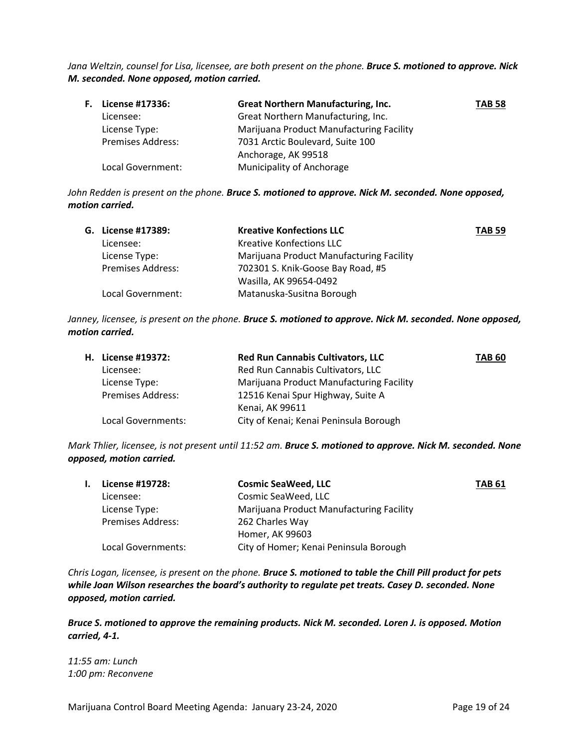*Jana Weltzin, counsel for Lisa, licensee, are both present on the phone. Bruce S. motioned to approve. Nick M. seconded. None opposed, motion carried.*

| <b>F.</b> License #17336: | <b>Great Northern Manufacturing, Inc.</b> | <b>TAB 58</b> |
|---------------------------|-------------------------------------------|---------------|
| Licensee:                 | Great Northern Manufacturing, Inc.        |               |
| License Type:             | Marijuana Product Manufacturing Facility  |               |
| <b>Premises Address:</b>  | 7031 Arctic Boulevard, Suite 100          |               |
|                           | Anchorage, AK 99518                       |               |
| Local Government:         | Municipality of Anchorage                 |               |

*John Redden is present on the phone. Bruce S. motioned to approve. Nick M. seconded. None opposed, motion carried.*

| G. License #17389:       | <b>Kreative Konfections LLC</b>          | <b>TAB 59</b> |
|--------------------------|------------------------------------------|---------------|
| Licensee:                | Kreative Konfections LLC                 |               |
| License Type:            | Marijuana Product Manufacturing Facility |               |
| <b>Premises Address:</b> | 702301 S. Knik-Goose Bay Road, #5        |               |
|                          | Wasilla, AK 99654-0492                   |               |
| Local Government:        | Matanuska-Susitna Borough                |               |

*Janney, licensee, is present on the phone. Bruce S. motioned to approve. Nick M. seconded. None opposed, motion carried.*

| H. License #19372:       | <b>Red Run Cannabis Cultivators, LLC</b> | <b>TAB 60</b> |
|--------------------------|------------------------------------------|---------------|
| Licensee:                | Red Run Cannabis Cultivators, LLC        |               |
| License Type:            | Marijuana Product Manufacturing Facility |               |
| <b>Premises Address:</b> | 12516 Kenai Spur Highway, Suite A        |               |
|                          | Kenai, AK 99611                          |               |
| Local Governments:       | City of Kenai; Kenai Peninsula Borough   |               |
|                          |                                          |               |

*Mark Thlier, licensee, is not present until 11:52 am. Bruce S. motioned to approve. Nick M. seconded. None opposed, motion carried.*

| License #19728:          | <b>Cosmic SeaWeed, LLC</b>               | <b>TAB 61</b> |
|--------------------------|------------------------------------------|---------------|
| Licensee:                | Cosmic SeaWeed, LLC                      |               |
| License Type:            | Marijuana Product Manufacturing Facility |               |
| <b>Premises Address:</b> | 262 Charles Way                          |               |
|                          | Homer, AK 99603                          |               |
| Local Governments:       | City of Homer; Kenai Peninsula Borough   |               |
|                          |                                          |               |

*Chris Logan, licensee, is present on the phone. Bruce S. motioned to table the Chill Pill product for pets while Joan Wilson researches the board's authority to regulate pet treats. Casey D. seconded. None opposed, motion carried.*

*Bruce S. motioned to approve the remaining products. Nick M. seconded. Loren J. is opposed. Motion carried, 4-1.*

*11:55 am: Lunch 1:00 pm: Reconvene*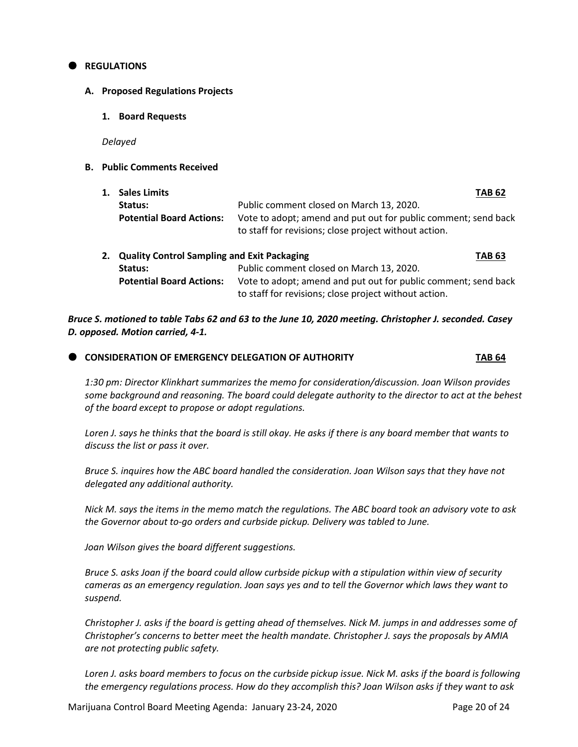### **REGULATIONS**

### **A. Proposed Regulations Projects**

**1. Board Requests**

*Delayed*

**B. Public Comments Received**

| 1. | <b>Sales Limits</b>                                |                                                                                                                         | <b>TAB 62</b> |
|----|----------------------------------------------------|-------------------------------------------------------------------------------------------------------------------------|---------------|
|    | Status:                                            | Public comment closed on March 13, 2020.                                                                                |               |
|    | <b>Potential Board Actions:</b>                    | Vote to adopt; amend and put out for public comment; send back<br>to staff for revisions; close project without action. |               |
| 2. | <b>Quality Control Sampling and Exit Packaging</b> |                                                                                                                         | <b>TAB 63</b> |
|    | Status:                                            | Public comment closed on March 13, 2020.                                                                                |               |
|    | <b>Potential Board Actions:</b>                    | Vote to adopt; amend and put out for public comment; send back<br>to staff for revisions; close project without action. |               |

*Bruce S. motioned to table Tabs 62 and 63 to the June 10, 2020 meeting. Christopher J. seconded. Casey D. opposed. Motion carried, 4-1.*

# **CONSIDERATION OF EMERGENCY DELEGATION OF AUTHORITY <b>TAB 64**

*1:30 pm: Director Klinkhart summarizes the memo for consideration/discussion. Joan Wilson provides some background and reasoning. The board could delegate authority to the director to act at the behest of the board except to propose or adopt regulations.*

*Loren J. says he thinks that the board is still okay. He asks if there is any board member that wants to discuss the list or pass it over.*

*Bruce S. inquires how the ABC board handled the consideration. Joan Wilson says that they have not delegated any additional authority.* 

*Nick M. says the items in the memo match the regulations. The ABC board took an advisory vote to ask the Governor about to-go orders and curbside pickup. Delivery was tabled to June.* 

*Joan Wilson gives the board different suggestions.* 

*Bruce S. asks Joan if the board could allow curbside pickup with a stipulation within view of security cameras as an emergency regulation. Joan says yes and to tell the Governor which laws they want to suspend.* 

*Christopher J. asks if the board is getting ahead of themselves. Nick M. jumps in and addresses some of Christopher's concerns to better meet the health mandate. Christopher J. says the proposals by AMIA are not protecting public safety.* 

*Loren J. asks board members to focus on the curbside pickup issue. Nick M. asks if the board is following the emergency regulations process. How do they accomplish this? Joan Wilson asks if they want to ask*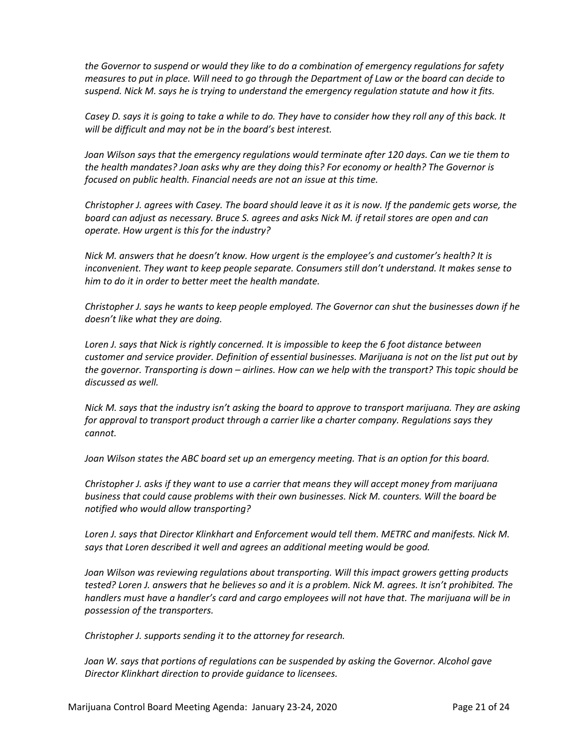*the Governor to suspend or would they like to do a combination of emergency regulations for safety measures to put in place. Will need to go through the Department of Law or the board can decide to suspend. Nick M. says he is trying to understand the emergency regulation statute and how it fits.* 

*Casey D. says it is going to take a while to do. They have to consider how they roll any of this back. It will be difficult and may not be in the board's best interest.* 

*Joan Wilson says that the emergency regulations would terminate after 120 days. Can we tie them to the health mandates? Joan asks why are they doing this? For economy or health? The Governor is focused on public health. Financial needs are not an issue at this time.* 

*Christopher J. agrees with Casey. The board should leave it as it is now. If the pandemic gets worse, the board can adjust as necessary. Bruce S. agrees and asks Nick M. if retail stores are open and can operate. How urgent is this for the industry?*

*Nick M. answers that he doesn't know. How urgent is the employee's and customer's health? It is inconvenient. They want to keep people separate. Consumers still don't understand. It makes sense to him to do it in order to better meet the health mandate.*

*Christopher J. says he wants to keep people employed. The Governor can shut the businesses down if he doesn't like what they are doing.*

Loren J. says that Nick is rightly concerned. It is impossible to keep the 6 foot distance between *customer and service provider. Definition of essential businesses. Marijuana is not on the list put out by the governor. Transporting is down – airlines. How can we help with the transport? This topic should be discussed as well.* 

*Nick M. says that the industry isn't asking the board to approve to transport marijuana. They are asking for approval to transport product through a carrier like a charter company. Regulations says they cannot.* 

*Joan Wilson states the ABC board set up an emergency meeting. That is an option for this board.* 

*Christopher J. asks if they want to use a carrier that means they will accept money from marijuana business that could cause problems with their own businesses. Nick M. counters. Will the board be notified who would allow transporting?*

*Loren J. says that Director Klinkhart and Enforcement would tell them. METRC and manifests. Nick M. says that Loren described it well and agrees an additional meeting would be good.* 

*Joan Wilson was reviewing regulations about transporting. Will this impact growers getting products tested? Loren J. answers that he believes so and it is a problem. Nick M. agrees. It isn't prohibited. The handlers must have a handler's card and cargo employees will not have that. The marijuana will be in possession of the transporters.* 

*Christopher J. supports sending it to the attorney for research.* 

*Joan W. says that portions of regulations can be suspended by asking the Governor. Alcohol gave Director Klinkhart direction to provide guidance to licensees.*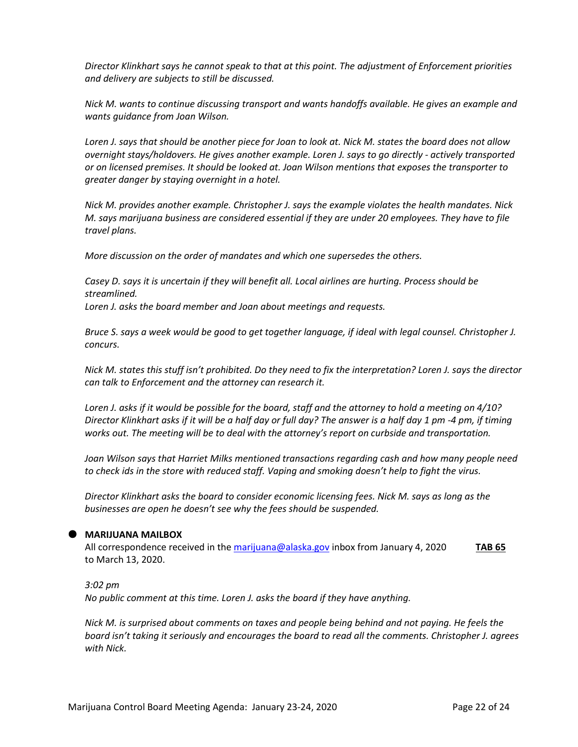*Director Klinkhart says he cannot speak to that at this point. The adjustment of Enforcement priorities and delivery are subjects to still be discussed.*

*Nick M. wants to continue discussing transport and wants handoffs available. He gives an example and wants guidance from Joan Wilson.* 

*Loren J. says that should be another piece for Joan to look at. Nick M. states the board does not allow overnight stays/holdovers. He gives another example. Loren J. says to go directly - actively transported or on licensed premises. It should be looked at. Joan Wilson mentions that exposes the transporter to greater danger by staying overnight in a hotel.*

*Nick M. provides another example. Christopher J. says the example violates the health mandates. Nick M. says marijuana business are considered essential if they are under 20 employees. They have to file travel plans.*

*More discussion on the order of mandates and which one supersedes the others.* 

*Casey D. says it is uncertain if they will benefit all. Local airlines are hurting. Process should be streamlined. Loren J. asks the board member and Joan about meetings and requests.*

*Bruce S. says a week would be good to get together language, if ideal with legal counsel. Christopher J. concurs.* 

*Nick M. states this stuff isn't prohibited. Do they need to fix the interpretation? Loren J. says the director can talk to Enforcement and the attorney can research it.*

*Loren J. asks if it would be possible for the board, staff and the attorney to hold a meeting on 4/10? Director Klinkhart asks if it will be a half day or full day? The answer is a half day 1 pm -4 pm, if timing works out. The meeting will be to deal with the attorney's report on curbside and transportation.* 

*Joan Wilson says that Harriet Milks mentioned transactions regarding cash and how many people need to check ids in the store with reduced staff. Vaping and smoking doesn't help to fight the virus.* 

*Director Klinkhart asks the board to consider economic licensing fees. Nick M. says as long as the businesses are open he doesn't see why the fees should be suspended.*

# **MARIJUANA MAILBOX**

All correspondence received in th[e marijuana@alaska.gov](mailto:marijuana@alaska.gov) inbox from January 4, 2020 **TAB 65** to March 13, 2020.

### *3:02 pm*

*No public comment at this time. Loren J. asks the board if they have anything.* 

*Nick M. is surprised about comments on taxes and people being behind and not paying. He feels the board isn't taking it seriously and encourages the board to read all the comments. Christopher J. agrees with Nick.*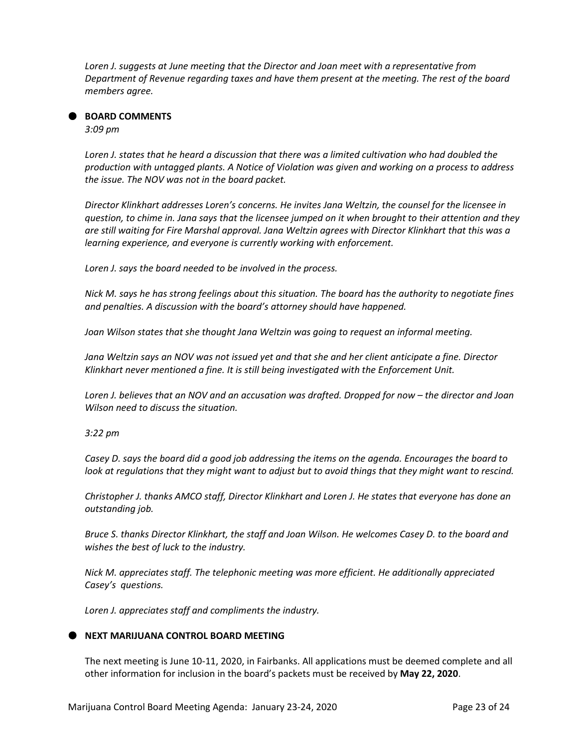*Loren J. suggests at June meeting that the Director and Joan meet with a representative from Department of Revenue regarding taxes and have them present at the meeting. The rest of the board members agree.* 

# **BOARD COMMENTS**

*3:09 pm*

*Loren J. states that he heard a discussion that there was a limited cultivation who had doubled the production with untagged plants. A Notice of Violation was given and working on a process to address the issue. The NOV was not in the board packet.*

*Director Klinkhart addresses Loren's concerns. He invites Jana Weltzin, the counsel for the licensee in question, to chime in. Jana says that the licensee jumped on it when brought to their attention and they are still waiting for Fire Marshal approval. Jana Weltzin agrees with Director Klinkhart that this was a learning experience, and everyone is currently working with enforcement.*

*Loren J. says the board needed to be involved in the process.*

*Nick M. says he has strong feelings about this situation. The board has the authority to negotiate fines and penalties. A discussion with the board's attorney should have happened.* 

*Joan Wilson states that she thought Jana Weltzin was going to request an informal meeting.* 

*Jana Weltzin says an NOV was not issued yet and that she and her client anticipate a fine. Director Klinkhart never mentioned a fine. It is still being investigated with the Enforcement Unit.*

*Loren J. believes that an NOV and an accusation was drafted. Dropped for now – the director and Joan Wilson need to discuss the situation.* 

*3:22 pm*

*Casey D. says the board did a good job addressing the items on the agenda. Encourages the board to look at regulations that they might want to adjust but to avoid things that they might want to rescind.*

*Christopher J. thanks AMCO staff, Director Klinkhart and Loren J. He states that everyone has done an outstanding job.* 

*Bruce S. thanks Director Klinkhart, the staff and Joan Wilson. He welcomes Casey D. to the board and wishes the best of luck to the industry.*

*Nick M. appreciates staff. The telephonic meeting was more efficient. He additionally appreciated Casey's questions.* 

*Loren J. appreciates staff and compliments the industry.* 

# **NEXT MARIJUANA CONTROL BOARD MEETING**

The next meeting is June 10-11, 2020, in Fairbanks. All applications must be deemed complete and all other information for inclusion in the board's packets must be received by **May 22, 2020**.